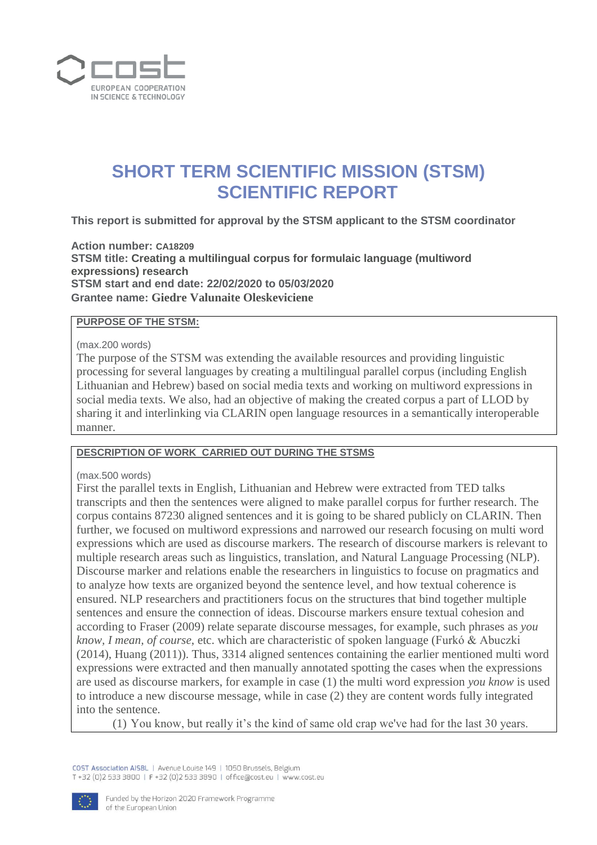

# **SHORT TERM SCIENTIFIC MISSION (STSM) SCIENTIFIC REPORT**

**This report is submitted for approval by the STSM applicant to the STSM coordinator** 

**Action number: CA18209 STSM title: Creating a multilingual corpus for formulaic language (multiword expressions) research STSM start and end date: 22/02/2020 to 05/03/2020 Grantee name: Giedre Valunaite Oleskeviciene**

#### **PURPOSE OF THE STSM:**

(max.200 words)

The purpose of the STSM was extending the available resources and providing linguistic processing for several languages by creating a multilingual parallel corpus (including English Lithuanian and Hebrew) based on social media texts and working on multiword expressions in social media texts. We also, had an objective of making the created corpus a part of LLOD by sharing it and interlinking via CLARIN open language resources in a semantically interoperable manner.

#### **DESCRIPTION OF WORK CARRIED OUT DURING THE STSMS**

(max.500 words)

First the parallel texts in English, Lithuanian and Hebrew were extracted from TED talks transcripts and then the sentences were aligned to make parallel corpus for further research. The corpus contains 87230 aligned sentences and it is going to be shared publicly on CLARIN. Then further, we focused on multiword expressions and narrowed our research focusing on multi word expressions which are used as discourse markers. The research of discourse markers is relevant to multiple research areas such as linguistics, translation, and Natural Language Processing (NLP). Discourse marker and relations enable the researchers in linguistics to focuse on pragmatics and to analyze how texts are organized beyond the sentence level, and how textual coherence is ensured. NLP researchers and practitioners focus on the structures that bind together multiple sentences and ensure the connection of ideas. Discourse markers ensure textual cohesion and according to Fraser (2009) relate separate discourse messages, for example, such phrases as *you know, I mean, of course*, etc. which are characteristic of spoken language (Furkó & Abuczki (2014), Huang (2011)). Thus, 3314 aligned sentences containing the earlier mentioned multi word expressions were extracted and then manually annotated spotting the cases when the expressions are used as discourse markers, for example in case (1) the multi word expression *you know* is used to introduce a new discourse message, while in case (2) they are content words fully integrated into the sentence.

(1) You know, but really it's the kind of same old crap we've had for the last 30 years.

COST Association AISBL | Avenue Louise 149 | 1050 Brussels, Belgium T+32 (0)2 533 3800 | F+32 (0)2 533 3890 | office@cost.eu | www.cost.eu